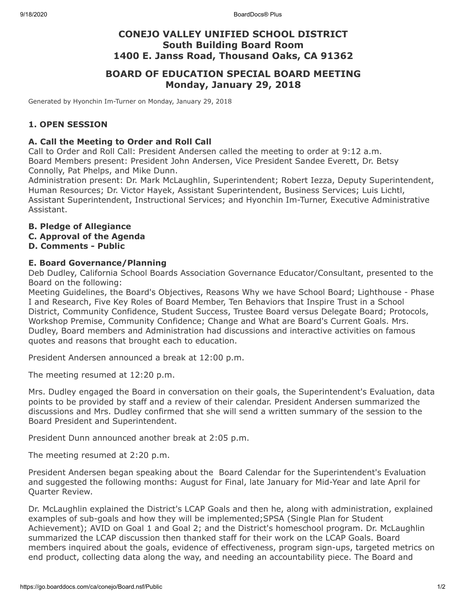# **CONEJO VALLEY UNIFIED SCHOOL DISTRICT South Building Board Room 1400 E. Janss Road, Thousand Oaks, CA 91362**

# **BOARD OF EDUCATION SPECIAL BOARD MEETING Monday, January 29, 2018**

Generated by Hyonchin Im-Turner on Monday, January 29, 2018

# **1. OPEN SESSION**

### **A. Call the Meeting to Order and Roll Call**

Call to Order and Roll Call: President Andersen called the meeting to order at 9:12 a.m. Board Members present: President John Andersen, Vice President Sandee Everett, Dr. Betsy Connolly, Pat Phelps, and Mike Dunn.

Administration present: Dr. Mark McLaughlin, Superintendent; Robert Iezza, Deputy Superintendent, Human Resources; Dr. Victor Hayek, Assistant Superintendent, Business Services; Luis Lichtl, Assistant Superintendent, Instructional Services; and Hyonchin Im-Turner, Executive Administrative Assistant.

## **B. Pledge of Allegiance**

**C. Approval of the Agenda**

## **D. Comments - Public**

### **E. Board Governance/Planning**

Deb Dudley, California School Boards Association Governance Educator/Consultant, presented to the Board on the following:

Meeting Guidelines, the Board's Objectives, Reasons Why we have School Board; Lighthouse - Phase I and Research, Five Key Roles of Board Member, Ten Behaviors that Inspire Trust in a School District, Community Confidence, Student Success, Trustee Board versus Delegate Board; Protocols, Workshop Premise, Community Confidence; Change and What are Board's Current Goals. Mrs. Dudley, Board members and Administration had discussions and interactive activities on famous quotes and reasons that brought each to education.

President Andersen announced a break at 12:00 p.m.

The meeting resumed at 12:20 p.m.

Mrs. Dudley engaged the Board in conversation on their goals, the Superintendent's Evaluation, data points to be provided by staff and a review of their calendar. President Andersen summarized the discussions and Mrs. Dudley confirmed that she will send a written summary of the session to the Board President and Superintendent.

President Dunn announced another break at 2:05 p.m.

The meeting resumed at 2:20 p.m.

President Andersen began speaking about the Board Calendar for the Superintendent's Evaluation and suggested the following months: August for Final, late January for Mid-Year and late April for Quarter Review.

Dr. McLaughlin explained the District's LCAP Goals and then he, along with administration, explained examples of sub-goals and how they will be implemented;SPSA (Single Plan for Student Achievement); AVID on Goal 1 and Goal 2; and the District's homeschool program. Dr. McLaughlin summarized the LCAP discussion then thanked staff for their work on the LCAP Goals. Board members inquired about the goals, evidence of effectiveness, program sign-ups, targeted metrics on end product, collecting data along the way, and needing an accountability piece. The Board and